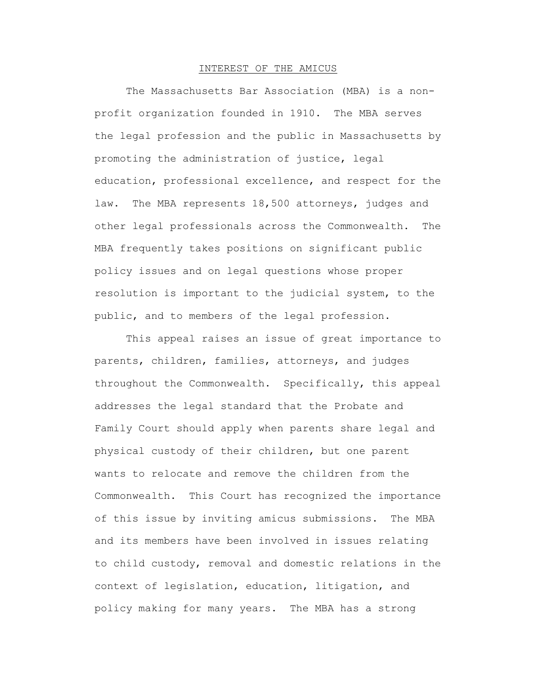### INTEREST OF THE AMICUS

The Massachusetts Bar Association (MBA) is a nonprofit organization founded in 1910. The MBA serves the legal profession and the public in Massachusetts by promoting the administration of justice, legal education, professional excellence, and respect for the law. The MBA represents 18,500 attorneys, judges and other legal professionals across the Commonwealth. The MBA frequently takes positions on significant public policy issues and on legal questions whose proper resolution is important to the judicial system, to the public, and to members of the legal profession.

This appeal raises an issue of great importance to parents, children, families, attorneys, and judges throughout the Commonwealth. Specifically, this appeal addresses the legal standard that the Probate and Family Court should apply when parents share legal and physical custody of their children, but one parent wants to relocate and remove the children from the Commonwealth. This Court has recognized the importance of this issue by inviting amicus submissions. The MBA and its members have been involved in issues relating to child custody, removal and domestic relations in the context of legislation, education, litigation, and policy making for many years. The MBA has a strong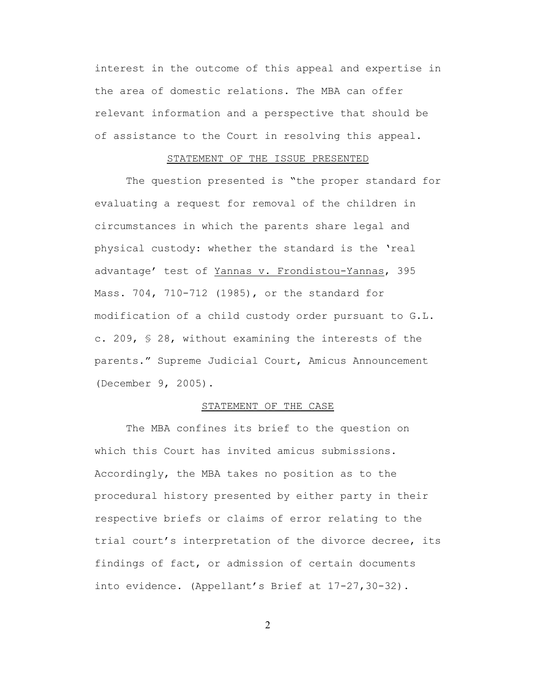interest in the outcome of this appeal and expertise in the area of domestic relations. The MBA can offer relevant information and a perspective that should be of assistance to the Court in resolving this appeal.

## STATEMENT OF THE ISSUE PRESENTED

The question presented is "the proper standard for evaluating a request for removal of the children in circumstances in which the parents share legal and physical custody: whether the standard is the 'real advantage' test of Yannas v. Frondistou-Yannas, 395 Mass. 704, 710-712 (1985), or the standard for modification of a child custody order pursuant to G.L. c. 209, § 28, without examining the interests of the parents." Supreme Judicial Court, Amicus Announcement (December 9, 2005).

# STATEMENT OF THE CASE

The MBA confines its brief to the question on which this Court has invited amicus submissions. Accordingly, the MBA takes no position as to the procedural history presented by either party in their respective briefs or claims of error relating to the trial court's interpretation of the divorce decree, its findings of fact, or admission of certain documents into evidence. (Appellant's Brief at 17-27,30-32).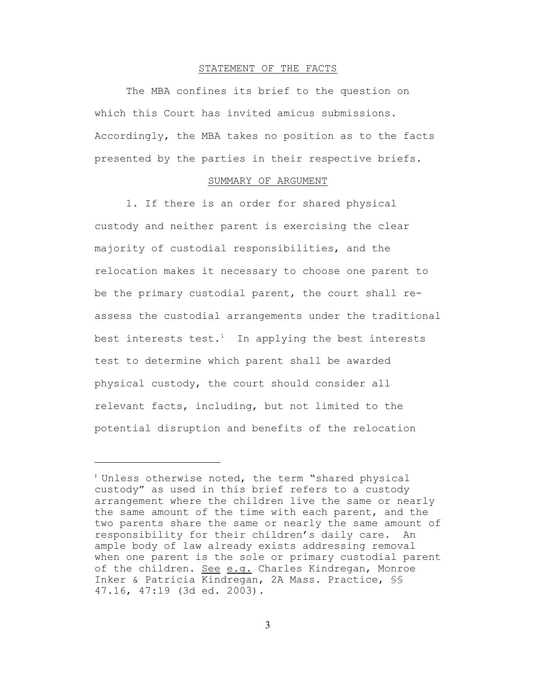#### STATEMENT OF THE FACTS

The MBA confines its brief to the question on which this Court has invited amicus submissions. Accordingly, the MBA takes no position as to the facts presented by the parties in their respective briefs.

#### SUMMARY OF ARGUMENT

1. If there is an order for shared physical custody and neither parent is exercising the clear majority of custodial responsibilities, and the relocation makes it necessary to choose one parent to be the primary custodial parent, the court shall reassess the custodial arrangements under the traditional best interests test.<sup>1</sup> In applying the best interests test to determine which parent shall be awarded physical custody, the court should consider all relevant facts, including, but not limited to the potential disruption and benefits of the relocation

<sup>&</sup>lt;sup>1</sup> Unless otherwise noted, the term "shared physical custody" as used in this brief refers to a custody arrangement where the children live the same or nearly the same amount of the time with each parent, and the two parents share the same or nearly the same amount of responsibility for their children's daily care. An ample body of law already exists addressing removal when one parent is the sole or primary custodial parent of the children. See e.g. Charles Kindregan, Monroe Inker & Patricia Kindregan, 2A Mass. Practice, §§ 47.16, 47:19 (3d ed. 2003).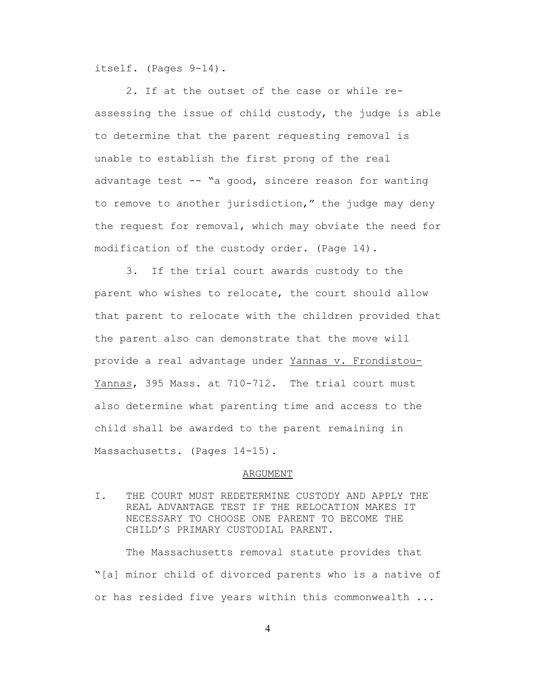itself. (Pages 9-14).

2. If at the outset of the case or while reassessing the issue of child custody, the judge is able to determine that the parent requesting removal is unable to establish the first prong of the real advantage test -- "a good, sincere reason for wanting to remove to another jurisdiction," the judge may deny the request for removal, which may obviate the need for modification of the custody order. (Page 14).

3. If the trial court awards custody to the parent who wishes to relocate, the court should allow that parent to relocate with the children provided that the parent also can demonstrate that the move will provide a real advantage under Yannas v. Frondistou-Yannas, 395 Mass. at 710-712. The trial court must also determine what parenting time and access to the child shall be awarded to the parent remaining in Massachusetts. (Pages 14-15).

#### ARGUMENT

I. THE COURT MUST REDETERMINE CUSTODY AND APPLY THE REAL ADVANTAGE TEST IF THE RELOCATION MAKES IT NECESSARY TO CHOOSE ONE PARENT TO BECOME THE CHILD'S PRIMARY CUSTODIAL PARENT.

The Massachusetts removal statute provides that "[a] minor child of divorced parents who is a native of or has resided five years within this commonwealth ...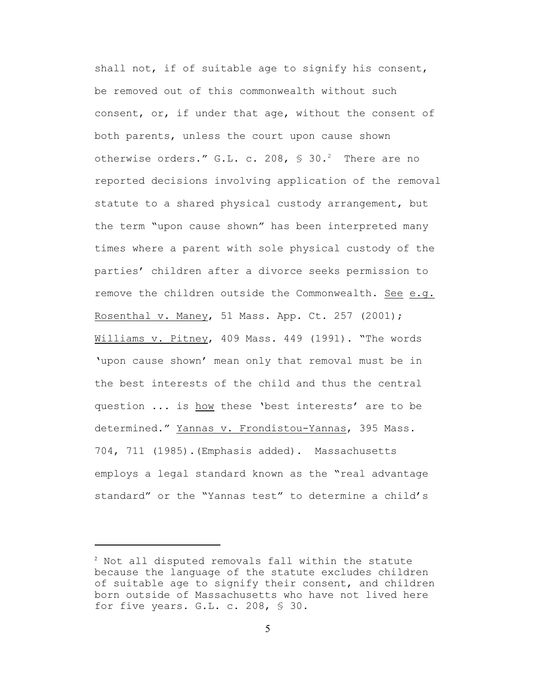shall not, if of suitable age to signify his consent, be removed out of this commonwealth without such consent, or, if under that age, without the consent of both parents, unless the court upon cause shown otherwise orders." G.L. c. 208,  $\frac{1}{2}$  30.<sup>2</sup> There are no reported decisions involving application of the removal statute to a shared physical custody arrangement, but the term "upon cause shown" has been interpreted many times where a parent with sole physical custody of the parties' children after a divorce seeks permission to remove the children outside the Commonwealth. See e.g. Rosenthal v. Maney, 51 Mass. App. Ct. 257 (2001); Williams v. Pitney, 409 Mass. 449 (1991). "The words 'upon cause shown' mean only that removal must be in the best interests of the child and thus the central question ... is how these 'best interests' are to be determined." Yannas v. Frondistou-Yannas, 395 Mass. 704, 711 (1985).(Emphasis added). Massachusetts employs a legal standard known as the "real advantage standard" or the "Yannas test" to determine a child's

<sup>&</sup>lt;sup>2</sup> Not all disputed removals fall within the statute because the language of the statute excludes children of suitable age to signify their consent, and children born outside of Massachusetts who have not lived here for five years. G.L. c. 208, § 30.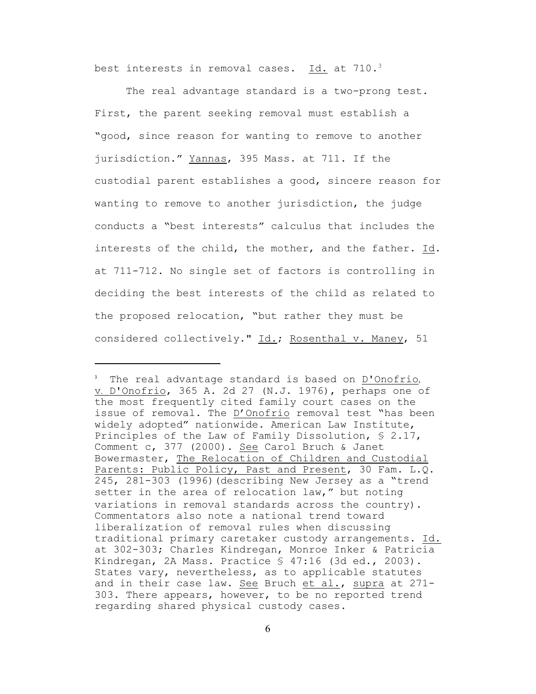best interests in removal cases. Id. at 710.<sup>3</sup>

The real advantage standard is a two-prong test. First, the parent seeking removal must establish a "good, since reason for wanting to remove to another jurisdiction." Yannas, 395 Mass. at 711. If the custodial parent establishes a good, sincere reason for wanting to remove to another jurisdiction, the judge conducts a "best interests" calculus that includes the interests of the child, the mother, and the father. Id. at 711-712. No single set of factors is controlling in deciding the best interests of the child as related to the proposed relocation, "but rather they must be considered collectively." Id.; Rosenthal v. Maney, 51

<sup>&</sup>lt;sup>3</sup> The real advantage standard is based on D'Onofrio, v. D'Onofrio, 365 A. 2d 27 (N.J. 1976), perhaps one of the most frequently cited family court cases on the issue of removal. The D'Onofrio removal test "has been widely adopted" nationwide. American Law Institute, Principles of the Law of Family Dissolution, § 2.17, Comment c, 377 (2000). See Carol Bruch & Janet Bowermaster, The Relocation of Children and Custodial Parents: Public Policy, Past and Present, 30 Fam. L.Q. 245, 281-303 (1996)(describing New Jersey as a "trend setter in the area of relocation law," but noting variations in removal standards across the country). Commentators also note a national trend toward liberalization of removal rules when discussing traditional primary caretaker custody arrangements. Id. at 302-303; Charles Kindregan, Monroe Inker & Patricia Kindregan, 2A Mass. Practice § 47:16 (3d ed., 2003). States vary, nevertheless, as to applicable statutes and in their case law. See Bruch et al., supra at 271- 303. There appears, however, to be no reported trend regarding shared physical custody cases.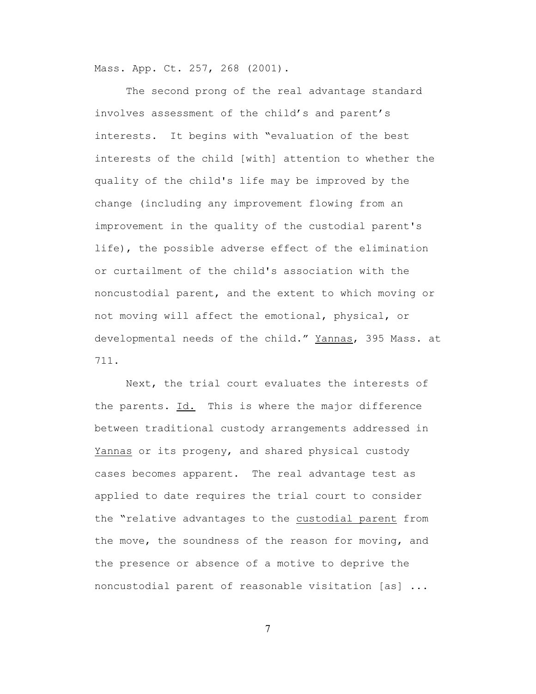Mass. App. Ct. 257, 268 (2001).

The second prong of the real advantage standard involves assessment of the child's and parent's interests. It begins with "evaluation of the best interests of the child [with] attention to whether the quality of the child's life may be improved by the change (including any improvement flowing from an improvement in the quality of the custodial parent's life), the possible adverse effect of the elimination or curtailment of the child's association with the noncustodial parent, and the extent to which moving or not moving will affect the emotional, physical, or developmental needs of the child." Yannas, 395 Mass. at 711.

Next, the trial court evaluates the interests of the parents. Id. This is where the major difference between traditional custody arrangements addressed in Yannas or its progeny, and shared physical custody cases becomes apparent. The real advantage test as applied to date requires the trial court to consider the "relative advantages to the custodial parent from the move, the soundness of the reason for moving, and the presence or absence of a motive to deprive the noncustodial parent of reasonable visitation [as] ...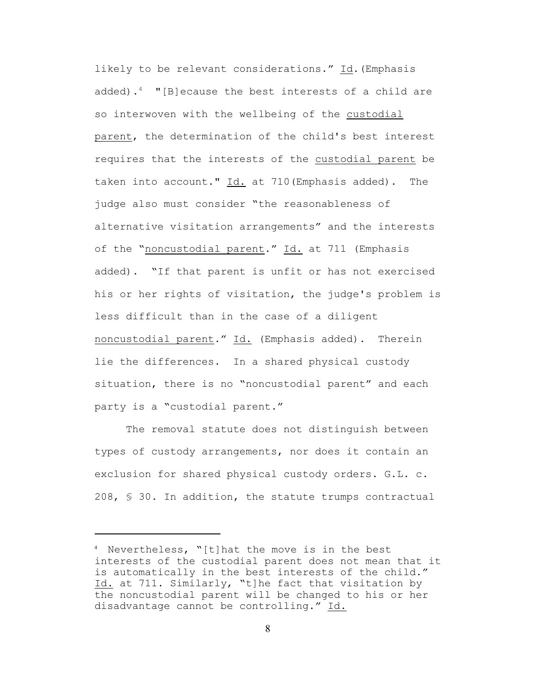likely to be relevant considerations." Id. (Emphasis added).<sup>4</sup> "[B]ecause the best interests of a child are so interwoven with the wellbeing of the custodial parent, the determination of the child's best interest requires that the interests of the custodial parent be taken into account." Id. at 710(Emphasis added). The judge also must consider "the reasonableness of alternative visitation arrangements" and the interests of the "noncustodial parent." Id. at 711 (Emphasis added). "If that parent is unfit or has not exercised his or her rights of visitation, the judge's problem is less difficult than in the case of a diligent noncustodial parent." Id. (Emphasis added). Therein lie the differences. In a shared physical custody situation, there is no "noncustodial parent" and each party is a "custodial parent."

The removal statute does not distinguish between types of custody arrangements, nor does it contain an exclusion for shared physical custody orders. G.L. c. 208, § 30. In addition, the statute trumps contractual

 $4$  Nevertheless, "[t]hat the move is in the best interests of the custodial parent does not mean that it is automatically in the best interests of the child." Id. at 711. Similarly, "t]he fact that visitation by the noncustodial parent will be changed to his or her disadvantage cannot be controlling." Id.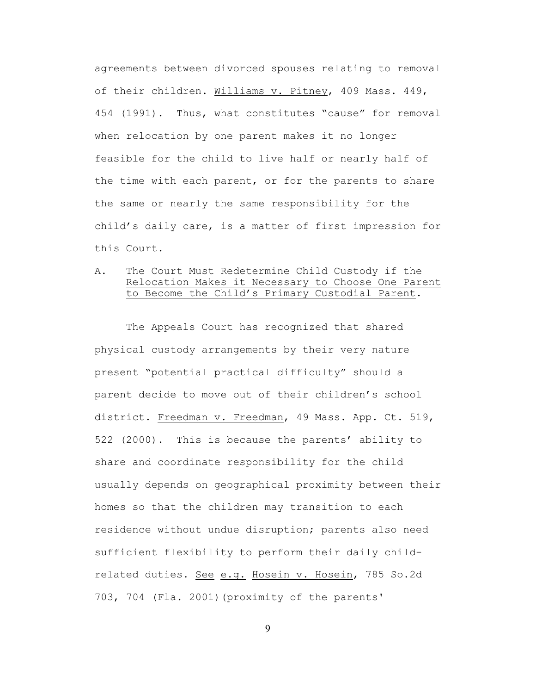agreements between divorced spouses relating to removal of their children. Williams v. Pitney, 409 Mass. 449, 454 (1991). Thus, what constitutes "cause" for removal when relocation by one parent makes it no longer feasible for the child to live half or nearly half of the time with each parent, or for the parents to share the same or nearly the same responsibility for the child's daily care, is a matter of first impression for this Court.

# A. The Court Must Redetermine Child Custody if the Relocation Makes it Necessary to Choose One Parent to Become the Child's Primary Custodial Parent.

The Appeals Court has recognized that shared physical custody arrangements by their very nature present "potential practical difficulty" should a parent decide to move out of their children's school district. Freedman v. Freedman, 49 Mass. App. Ct. 519, 522 (2000). This is because the parents' ability to share and coordinate responsibility for the child usually depends on geographical proximity between their homes so that the children may transition to each residence without undue disruption; parents also need sufficient flexibility to perform their daily childrelated duties. See e.g. Hosein v. Hosein, 785 So.2d 703, 704 (Fla. 2001)(proximity of the parents'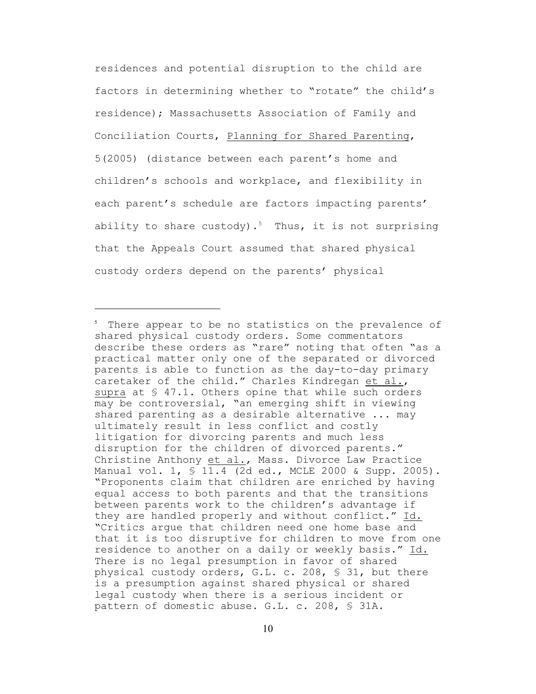residences and potential disruption to the child are factors in determining whether to "rotate" the child's residence); Massachusetts Association of Family and Conciliation Courts, Planning for Shared Parenting, 5(2005) (distance between each parent's home and children's schools and workplace, and flexibility in each parent's schedule are factors impacting parents' ability to share custody).<sup>5</sup> Thus, it is not surprising that the Appeals Court assumed that shared physical custody orders depend on the parents' physical

 $5$  There appear to be no statistics on the prevalence of shared physical custody orders. Some commentators describe these orders as "rare" noting that often "as a practical matter only one of the separated or divorced parents is able to function as the day-to-day primary caretaker of the child." Charles Kindregan et al., supra at  $\S$  47.1. Others opine that while such orders may be controversial, "an emerging shift in viewing shared parenting as a desirable alternative ... may ultimately result in less conflict and costly litigation for divorcing parents and much less disruption for the children of divorced parents." Christine Anthony et al., Mass. Divorce Law Practice Manual vol. 1, § 11.4 (2d ed., MCLE 2000 & Supp. 2005). "Proponents claim that children are enriched by having equal access to both parents and that the transitions between parents work to the children's advantage if they are handled properly and without conflict." Id. "Critics argue that children need one home base and that it is too disruptive for children to move from one residence to another on a daily or weekly basis." Id. There is no legal presumption in favor of shared physical custody orders, G.L. c. 208, § 31, but there is a presumption against shared physical or shared legal custody when there is a serious incident or pattern of domestic abuse. G.L. c. 208, § 31A.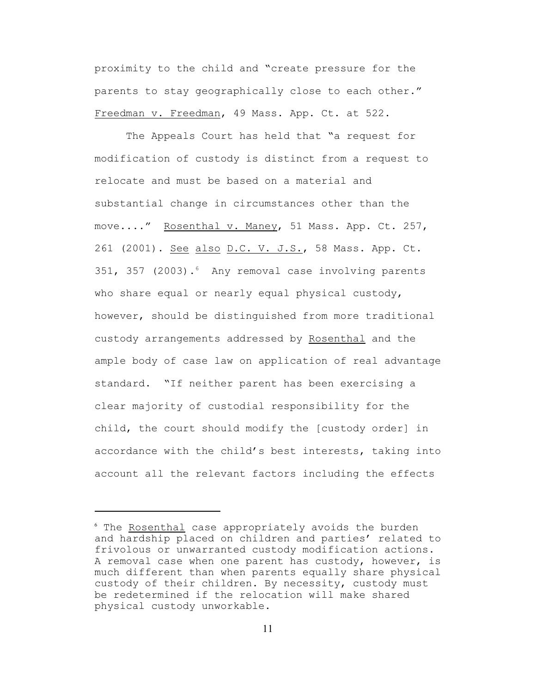proximity to the child and "create pressure for the parents to stay geographically close to each other." Freedman v. Freedman, 49 Mass. App. Ct. at 522.

The Appeals Court has held that "a request for modification of custody is distinct from a request to relocate and must be based on a material and substantial change in circumstances other than the move...." Rosenthal v. Maney, 51 Mass. App. Ct. 257, 261 (2001). See also D.C. V. J.S., 58 Mass. App. Ct. 351, 357 (2003). $6$  Any removal case involving parents who share equal or nearly equal physical custody, however, should be distinguished from more traditional custody arrangements addressed by Rosenthal and the ample body of case law on application of real advantage standard. "If neither parent has been exercising a clear majority of custodial responsibility for the child, the court should modify the [custody order] in accordance with the child's best interests, taking into account all the relevant factors including the effects

<sup>&</sup>lt;sup>6</sup> The Rosenthal case appropriately avoids the burden and hardship placed on children and parties' related to frivolous or unwarranted custody modification actions. A removal case when one parent has custody, however, is much different than when parents equally share physical custody of their children. By necessity, custody must be redetermined if the relocation will make shared physical custody unworkable.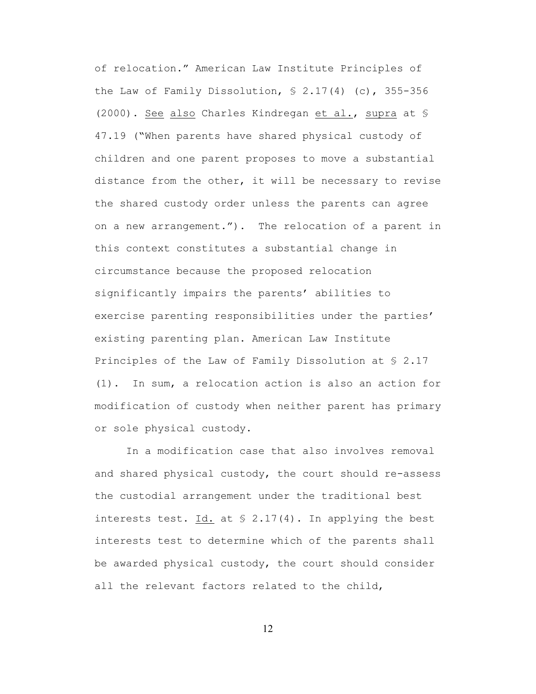of relocation." American Law Institute Principles of the Law of Family Dissolution,  $$ 2.17(4) (c)$ , 355-356 (2000). See also Charles Kindregan et al., supra at § 47.19 ("When parents have shared physical custody of children and one parent proposes to move a substantial distance from the other, it will be necessary to revise the shared custody order unless the parents can agree on a new arrangement."). The relocation of a parent in this context constitutes a substantial change in circumstance because the proposed relocation significantly impairs the parents' abilities to exercise parenting responsibilities under the parties' existing parenting plan. American Law Institute Principles of the Law of Family Dissolution at § 2.17 (1). In sum, a relocation action is also an action for modification of custody when neither parent has primary or sole physical custody.

In a modification case that also involves removal and shared physical custody, the court should re-assess the custodial arrangement under the traditional best interests test. Id. at  $S$  2.17(4). In applying the best interests test to determine which of the parents shall be awarded physical custody, the court should consider all the relevant factors related to the child,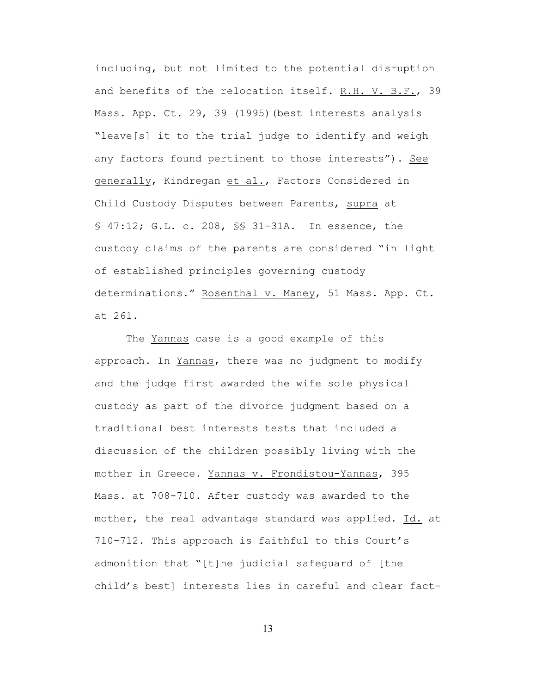including, but not limited to the potential disruption and benefits of the relocation itself. R.H. V. B.F., 39 Mass. App. Ct. 29, 39 (1995) (best interests analysis "leave[s] it to the trial judge to identify and weigh any factors found pertinent to those interests"). See generally, Kindregan et al., Factors Considered in Child Custody Disputes between Parents, supra at § 47:12; G.L. c. 208, §§ 31-31A. In essence, the custody claims of the parents are considered "in light of established principles governing custody determinations." Rosenthal v. Maney, 51 Mass. App. Ct. at 261.

The Yannas case is a good example of this approach. In Yannas, there was no judgment to modify and the judge first awarded the wife sole physical custody as part of the divorce judgment based on a traditional best interests tests that included a discussion of the children possibly living with the mother in Greece. Yannas v. Frondistou-Yannas, 395 Mass. at 708-710. After custody was awarded to the mother, the real advantage standard was applied. Id. at 710-712. This approach is faithful to this Court's admonition that "[t]he judicial safeguard of [the child's best] interests lies in careful and clear fact-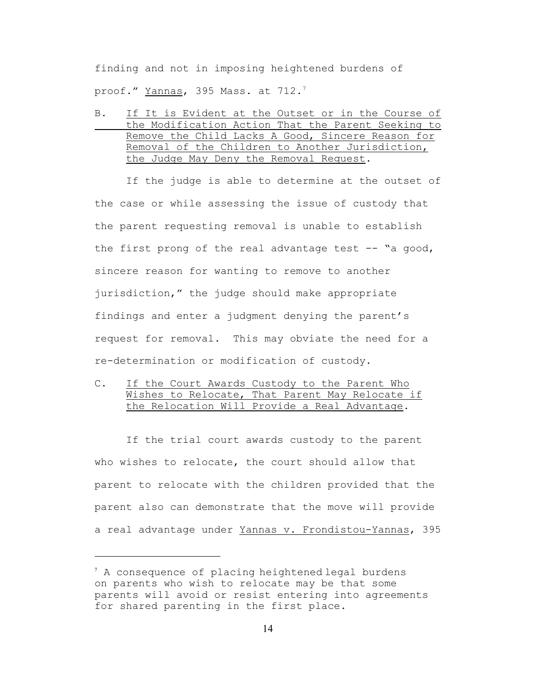finding and not in imposing heightened burdens of proof." <u>Yannas</u>, 395 Mass. at 712.<sup>7</sup>

B. If It is Evident at the Outset or in the Course of the Modification Action That the Parent Seeking to Remove the Child Lacks A Good, Sincere Reason for Removal of the Children to Another Jurisdiction, the Judge May Deny the Removal Request.

If the judge is able to determine at the outset of the case or while assessing the issue of custody that the parent requesting removal is unable to establish the first prong of the real advantage test -- "a good, sincere reason for wanting to remove to another jurisdiction," the judge should make appropriate findings and enter a judgment denying the parent's request for removal. This may obviate the need for a re-determination or modification of custody.

C. If the Court Awards Custody to the Parent Who Wishes to Relocate, That Parent May Relocate if the Relocation Will Provide a Real Advantage.

If the trial court awards custody to the parent who wishes to relocate, the court should allow that parent to relocate with the children provided that the parent also can demonstrate that the move will provide a real advantage under Yannas v. Frondistou-Yannas, 395

 $^7$  A consequence of placing heightened legal burdens on parents who wish to relocate may be that some parents will avoid or resist entering into agreements for shared parenting in the first place.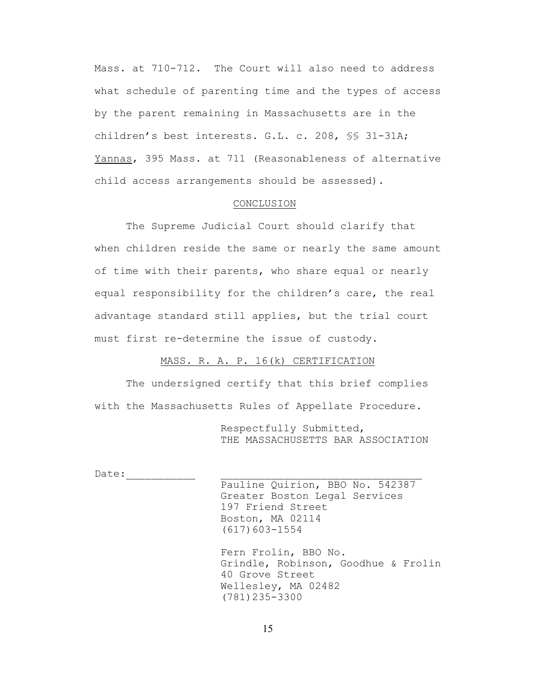Mass. at 710-712. The Court will also need to address what schedule of parenting time and the types of access by the parent remaining in Massachusetts are in the children's best interests. G.L. c. 208, §§ 31-31A; Yannas, 395 Mass. at 711 (Reasonableness of alternative child access arrangements should be assessed).

### CONCLUSION

The Supreme Judicial Court should clarify that when children reside the same or nearly the same amount of time with their parents, who share equal or nearly equal responsibility for the children's care, the real advantage standard still applies, but the trial court must first re-determine the issue of custody.

MASS. R. A. P. 16(k) CERTIFICATION

The undersigned certify that this brief complies with the Massachusetts Rules of Appellate Procedure.

> Respectfully Submitted, THE MASSACHUSETTS BAR ASSOCIATION

Date:\_\_\_\_\_\_\_\_\_\_\_ \_\_\_\_\_\_\_\_\_\_\_\_\_\_\_\_\_\_\_\_\_\_\_\_\_\_\_\_\_\_\_\_

Pauline Quirion, BBO No. 542387 Greater Boston Legal Services 197 Friend Street Boston, MA 02114 (617)603-1554

Fern Frolin, BBO No. Grindle, Robinson, Goodhue & Frolin 40 Grove Street Wellesley, MA 02482 (781)235-3300